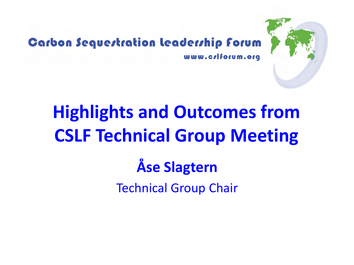

#### **Carbon Sequestration leadership forum** www.crlforum.org

# **Highlights and Outcomes from CSLF Technical Group Meeting Åse Slagtern**

Technical Group Chair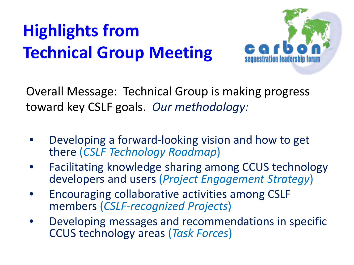

Overall Message: Technical Group is making progress toward key CSLF goals. *Our methodology:*

- Developing a forward-looking vision and how to get there (*CSLF Technology Roadmap*)
- Facilitating knowledge sharing among CCUS technology developers and users (*Project Engagement Strategy*)
- Encouraging collaborative activities among CSLF members (*CSLF-recognized Projects*)
- Developing messages and recommendations in specific CCUS technology areas (*Task Forces*)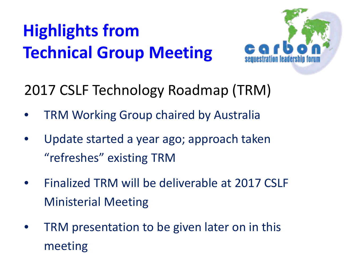

2017 CSLF Technology Roadmap (TRM)

- TRM Working Group chaired by Australia
- Update started a year ago; approach taken "refreshes" existing TRM
- Finalized TRM will be deliverable at 2017 CSLF Ministerial Meeting
- TRM presentation to be given later on in this meeting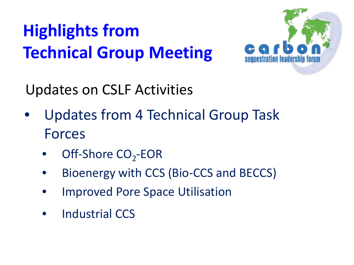

Updates on CSLF Activities

- Updates from 4 Technical Group Task Forces
	- Off-Shore CO<sub>2</sub>-EOR
	- Bioenergy with CCS (Bio-CCS and BECCS)
	- Improved Pore Space Utilisation
	- Industrial CCS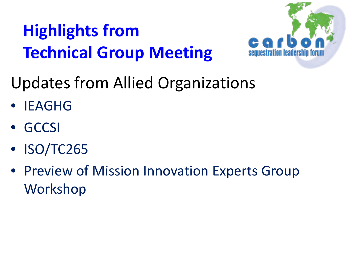

Updates from Allied Organizations

- **IFAGHG**
- GCCSI
- ISO/TC265
- Preview of Mission Innovation Experts Group Workshop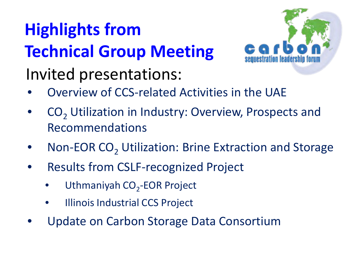

Invited presentations:

- Overview of CCS-related Activities in the UAE
- CO<sub>2</sub> Utilization in Industry: Overview, Prospects and Recommendations
- Non-EOR CO<sub>2</sub> Utilization: Brine Extraction and Storage
- Results from CSLF-recognized Project
	- Uthmaniyah CO<sub>2</sub>-EOR Project
	- Illinois Industrial CCS Project
- Update on Carbon Storage Data Consortium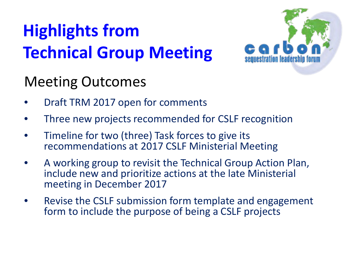

#### Meeting Outcomes

- Draft TRM 2017 open for comments
- Three new projects recommended for CSLF recognition
- Timeline for two (three) Task forces to give its recommendations at 2017 CSLF Ministerial Meeting
- A working group to revisit the Technical Group Action Plan, include new and prioritize actions at the late Ministerial meeting in December 2017
- Revise the CSLF submission form template and engagement form to include the purpose of being a CSLF projects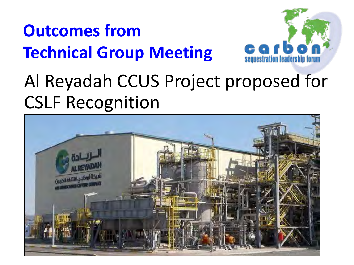

#### Al Reyadah CCUS Project proposed for CSLF Recognition

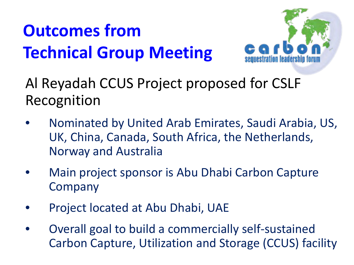

Al Reyadah CCUS Project proposed for CSLF Recognition

- Nominated by United Arab Emirates, Saudi Arabia, US, UK, China, Canada, South Africa, the Netherlands, Norway and Australia
- Main project sponsor is Abu Dhabi Carbon Capture Company
- Project located at Abu Dhabi, UAE
- Overall goal to build a commercially self-sustained Carbon Capture, Utilization and Storage (CCUS) facility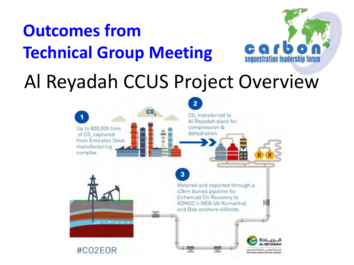

#### Al Reyadah CCUS Project Overview

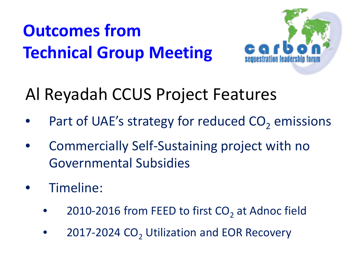

#### Al Reyadah CCUS Project Features

- Part of UAE's strategy for reduced  $CO<sub>2</sub>$  emissions
- Commercially Self-Sustaining project with no Governmental Subsidies
- Timeline:
	- 2010-2016 from FEED to first  $CO<sub>2</sub>$  at Adnoc field
	- 2017-2024 CO<sub>2</sub> Utilization and EOR Recovery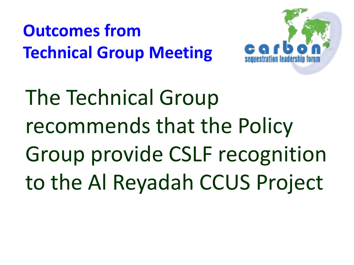

The Technical Group recommends that the Policy Group provide CSLF recognition to the Al Reyadah CCUS Project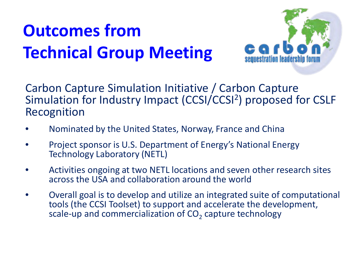

Carbon Capture Simulation Initiative / Carbon Capture Simulation for Industry Impact (CCSI/CCSI2) proposed for CSLF Recognition

- Nominated by the United States, Norway, France and China
- Project sponsor is U.S. Department of Energy's National Energy Technology Laboratory (NETL)
- Activities ongoing at two NETL locations and seven other research sites across the USA and collaboration around the world
- Overall goal is to develop and utilize an integrated suite of computational tools (the CCSI Toolset) to support and accelerate the development, scale-up and commercialization of  $CO<sub>2</sub>$  capture technology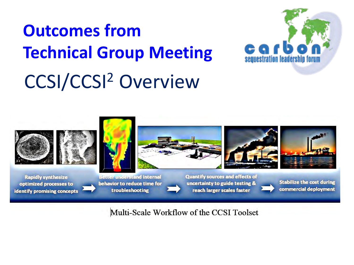## CCSI/CCSI2 Overview **Outcomes from Technical Group Meeting**





Multi-Scale Workflow of the CCSI Toolset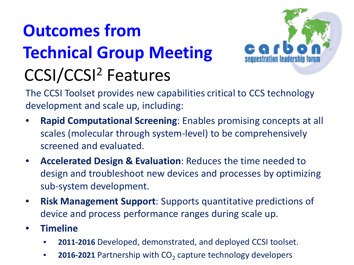### **Outcomes from Technical Group Meeting** CCSI/CCSI2 Features



The CCSI Toolset provides new capabilities critical to CCS technology development and scale up, including:

- **Rapid Computational Screening**: Enables promising concepts at all scales (molecular through system-level) to be comprehensively screened and evaluated.
- **Accelerated Design & Evaluation**: Reduces the time needed to design and troubleshoot new devices and processes by optimizing sub-system development.
- **Risk Management Support**: Supports quantitative predictions of device and process performance ranges during scale up.
- **Timeline**
	- **2011-2016** Developed, demonstrated, and deployed CCSI toolset.
	- **2016-2021** Partnership with CO<sub>2</sub> capture technology developers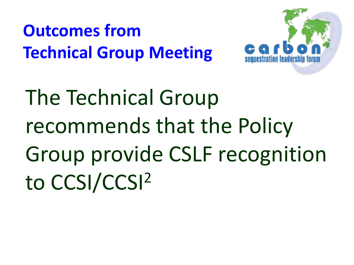

The Technical Group recommends that the Policy Group provide CSLF recognition to CCSI/CCSI2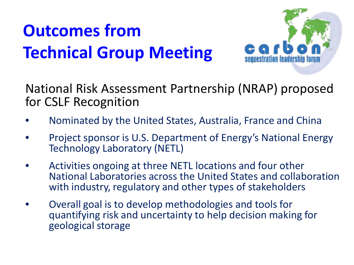

#### National Risk Assessment Partnership (NRAP) proposed for CSLF Recognition

- Nominated by the United States, Australia, France and China
- Project sponsor is U.S. Department of Energy's National Energy Technology Laboratory (NETL)
- Activities ongoing at three NETL locations and four other National Laboratories across the United States and collaboration with industry, regulatory and other types of stakeholders
- Overall goal is to develop methodologies and tools for quantifying risk and uncertainty to help decision making for geological storage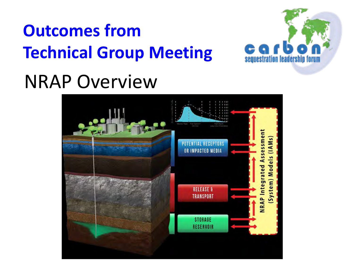

## NRAP Overview

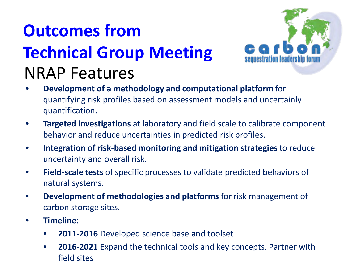#### **Outcomes from Technical Group Meeting** NRAP Features



- **Development of a methodology and computational platform** for quantifying risk profiles based on assessment models and uncertainly quantification.
- **Targeted investigations** at laboratory and field scale to calibrate component behavior and reduce uncertainties in predicted risk profiles.
- **Integration of risk-based monitoring and mitigation strategies** to reduce uncertainty and overall risk.
- **Field-scale tests** of specific processes to validate predicted behaviors of natural systems.
- **Development of methodologies and platforms** for risk management of carbon storage sites.
- **Timeline:**
	- **2011-2016** Developed science base and toolset
	- **2016-2021** Expand the technical tools and key concepts. Partner with field sites